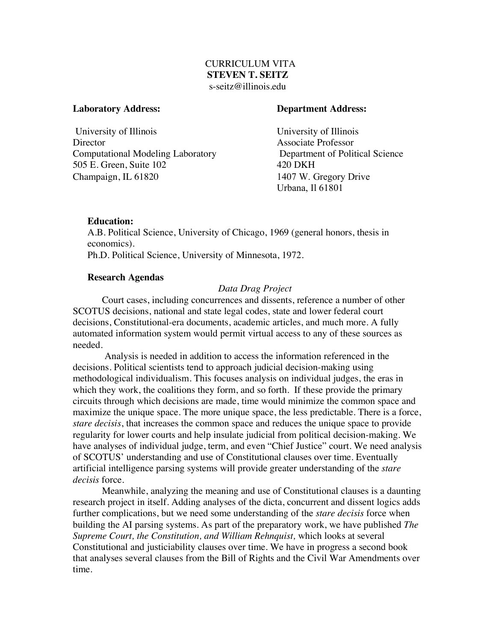# CURRICULUM VITA **STEVEN T. SEITZ** s-seitz@illinois.edu

University of Illinois University of Illinois Director Associate Professor Computational Modeling Laboratory Department of Political Science 505 E. Green, Suite 102 420 DKH Champaign, IL 61820 1407 W. Gregory Drive

## **Laboratory Address: Department Address:**

Urbana, Il 61801

## **Education:**

A.B. Political Science, University of Chicago, 1969 (general honors, thesis in economics). Ph.D. Political Science, University of Minnesota, 1972.

# **Research Agendas**

# *Data Drag Project*

Court cases, including concurrences and dissents, reference a number of other SCOTUS decisions, national and state legal codes, state and lower federal court decisions, Constitutional-era documents, academic articles, and much more. A fully automated information system would permit virtual access to any of these sources as needed.

Analysis is needed in addition to access the information referenced in the decisions. Political scientists tend to approach judicial decision-making using methodological individualism. This focuses analysis on individual judges, the eras in which they work, the coalitions they form, and so forth. If these provide the primary circuits through which decisions are made, time would minimize the common space and maximize the unique space. The more unique space, the less predictable. There is a force, *stare decisis*, that increases the common space and reduces the unique space to provide regularity for lower courts and help insulate judicial from political decision-making. We have analyses of individual judge, term, and even "Chief Justice" court. We need analysis of SCOTUS' understanding and use of Constitutional clauses over time. Eventually artificial intelligence parsing systems will provide greater understanding of the *stare decisis* force.

Meanwhile, analyzing the meaning and use of Constitutional clauses is a daunting research project in itself. Adding analyses of the dicta, concurrent and dissent logics adds further complications, but we need some understanding of the *stare decisis* force when building the AI parsing systems. As part of the preparatory work, we have published *The Supreme Court, the Constitution, and William Rehnquist,* which looks at several Constitutional and justiciability clauses over time. We have in progress a second book that analyses several clauses from the Bill of Rights and the Civil War Amendments over time.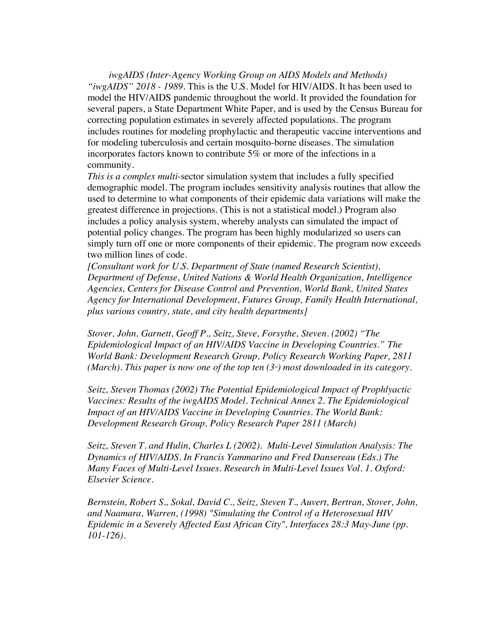*iwgAIDS (Inter-Agency Working Group on AIDS Models and Methods) "iwgAIDS" 2018 - 1989.* This is the U.S. Model for HIV/AIDS. It has been used to model the HIV/AIDS pandemic throughout the world. It provided the foundation for several papers, a State Department White Paper, and is used by the Census Bureau for correcting population estimates in severely affected populations. The program includes routines for modeling prophylactic and therapeutic vaccine interventions and for modeling tuberculosis and certain mosquito-borne diseases. The simulation incorporates factors known to contribute 5% or more of the infections in a community.

*This is a complex multi-*sector simulation system that includes a fully specified demographic model. The program includes sensitivity analysis routines that allow the used to determine to what components of their epidemic data variations will make the greatest difference in projections. (This is not a statistical model.) Program also includes a policy analysis system, whereby analysts can simulated the impact of potential policy changes. The program has been highly modularized so users can simply turn off one or more components of their epidemic. The program now exceeds two million lines of code.

*[Consultant work for U.S. Department of State (named Research Scientist), Department of Defense, United Nations & World Health Organization, Intelligence Agencies, Centers for Disease Control and Prevention, World Bank, United States Agency for International Development, Futures Group, Family Health International, plus various country, state, and city health departments]*

*Stover, John, Garnett, Geoff P., Seitz, Steve, Forsythe, Steven. (2002) "The Epidemiological Impact of an HIV/AIDS Vaccine in Developing Countries." The World Bank: Development Research Group, Policy Research Working Paper, 2811 (March). This paper is now one of the top ten*  $(3<sup>d</sup>)$  *most downloaded in its category.* 

*Seitz, Steven Thomas (2002) The Potential Epidemiological Impact of Prophlyactic Vaccines: Results of the iwgAIDS Model. Technical Annex 2. The Epidemiological Impact of an HIV/AIDS Vaccine in Developing Countries. The World Bank: Development Research Group, Policy Research Paper 2811 (March)*

*Seitz, Steven T. and Hulin, Charles L (2002). Multi-Level Simulation Analysis: The Dynamics of HIV/AIDS. In Francis Yammarino and Fred Dansereau (Eds.) The Many Faces of Multi-Level Issues. Research in Multi-Level Issues Vol. 1. Oxford: Elsevier Science.*

*Bernstein, Robert S., Sokal, David C., Seitz, Steven T., Auvert, Bertran, Stover, John, and Naamara, Warren, (1998) "Simulating the Control of a Heterosexual HIV Epidemic in a Severely Affected East African City", Interfaces 28:3 May-June (pp. 101-126).*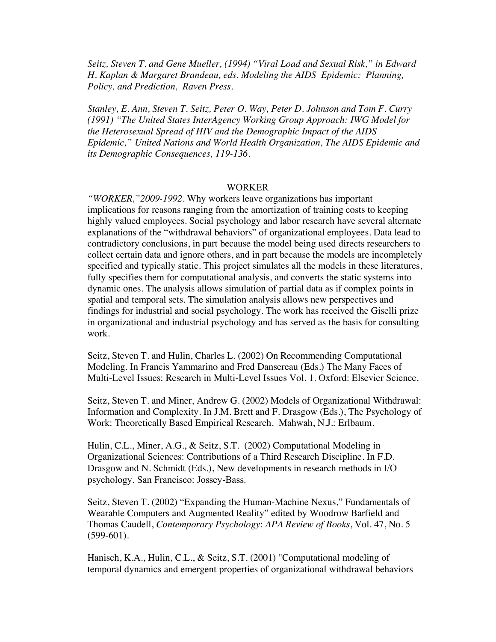*Seitz, Steven T. and Gene Mueller, (1994) "Viral Load and Sexual Risk," in Edward H. Kaplan & Margaret Brandeau, eds. Modeling the AIDS Epidemic: Planning, Policy, and Prediction, Raven Press.*

*Stanley, E. Ann, Steven T. Seitz, Peter O. Way, Peter D. Johnson and Tom F. Curry (1991) "The United States InterAgency Working Group Approach: IWG Model for the Heterosexual Spread of HIV and the Demographic Impact of the AIDS Epidemic," United Nations and World Health Organization, The AIDS Epidemic and its Demographic Consequences, 119-136.* 

### WORKER

*"WORKER,"2009-1992.* Why workers leave organizations has important implications for reasons ranging from the amortization of training costs to keeping highly valued employees. Social psychology and labor research have several alternate explanations of the "withdrawal behaviors" of organizational employees. Data lead to contradictory conclusions, in part because the model being used directs researchers to collect certain data and ignore others, and in part because the models are incompletely specified and typically static. This project simulates all the models in these literatures, fully specifies them for computational analysis, and converts the static systems into dynamic ones. The analysis allows simulation of partial data as if complex points in spatial and temporal sets. The simulation analysis allows new perspectives and findings for industrial and social psychology. The work has received the Giselli prize in organizational and industrial psychology and has served as the basis for consulting work.

Seitz, Steven T. and Hulin, Charles L. (2002) On Recommending Computational Modeling. In Francis Yammarino and Fred Dansereau (Eds.) The Many Faces of Multi-Level Issues: Research in Multi-Level Issues Vol. 1. Oxford: Elsevier Science.

Seitz, Steven T. and Miner, Andrew G. (2002) Models of Organizational Withdrawal: Information and Complexity. In J.M. Brett and F. Drasgow (Eds.), The Psychology of Work: Theoretically Based Empirical Research. Mahwah, N.J.: Erlbaum.

Hulin, C.L., Miner, A.G., & Seitz, S.T. (2002) Computational Modeling in Organizational Sciences: Contributions of a Third Research Discipline. In F.D. Drasgow and N. Schmidt (Eds.), New developments in research methods in I/O psychology. San Francisco: Jossey-Bass.

Seitz, Steven T. (2002) "Expanding the Human-Machine Nexus," Fundamentals of Wearable Computers and Augmented Reality" edited by Woodrow Barfield and Thomas Caudell, *Contemporary Psychology*: *APA Review of Books*, Vol. 47, No. 5  $(599-601)$ .

Hanisch, K.A., Hulin, C.L., & Seitz, S.T. (2001) "Computational modeling of temporal dynamics and emergent properties of organizational withdrawal behaviors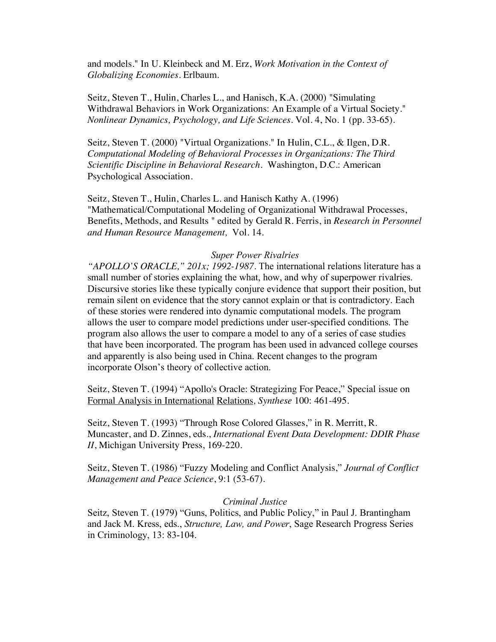and models." In U. Kleinbeck and M. Erz, *Work Motivation in the Context of Globalizing Economies.* Erlbaum.

Seitz, Steven T., Hulin, Charles L., and Hanisch, K.A. (2000) "Simulating Withdrawal Behaviors in Work Organizations: An Example of a Virtual Society." *Nonlinear Dynamics, Psychology, and Life Sciences*. Vol. 4, No. 1 (pp. 33-65).

Seitz, Steven T. (2000) "Virtual Organizations." In Hulin, C.L., & Ilgen, D.R. *Computational Modeling of Behavioral Processes in Organizations: The Third Scientific Discipline in Behavioral Research.* Washington, D.C.: American Psychological Association.

Seitz, Steven T., Hulin, Charles L. and Hanisch Kathy A. (1996) "Mathematical/Computational Modeling of Organizational Withdrawal Processes, Benefits, Methods, and Results " edited by Gerald R. Ferris, in *Research in Personnel and Human Resource Management,* Vol. 14.

### *Super Power Rivalries*

*"APOLLO'S ORACLE," 201x; 1992-1987.* The international relations literature has a small number of stories explaining the what, how, and why of superpower rivalries. Discursive stories like these typically conjure evidence that support their position, but remain silent on evidence that the story cannot explain or that is contradictory. Each of these stories were rendered into dynamic computational models. The program allows the user to compare model predictions under user-specified conditions. The program also allows the user to compare a model to any of a series of case studies that have been incorporated. The program has been used in advanced college courses and apparently is also being used in China. Recent changes to the program incorporate Olson's theory of collective action.

Seitz, Steven T. (1994) "Apollo's Oracle: Strategizing For Peace," Special issue on Formal Analysis in International Relations*, Synthese* 100: 461-495.

Seitz, Steven T. (1993) "Through Rose Colored Glasses," in R. Merritt, R. Muncaster, and D. Zinnes, eds., *International Event Data Development: DDIR Phase II*, Michigan University Press, 169-220.

Seitz, Steven T. (1986) "Fuzzy Modeling and Conflict Analysis," *Journal of Conflict Management and Peace Science*, 9:1 (53-67).

## *Criminal Justice*

Seitz, Steven T. (1979) "Guns, Politics, and Public Policy," in Paul J. Brantingham and Jack M. Kress, eds., *Structure, Law, and Power*, Sage Research Progress Series in Criminology, 13: 83-104.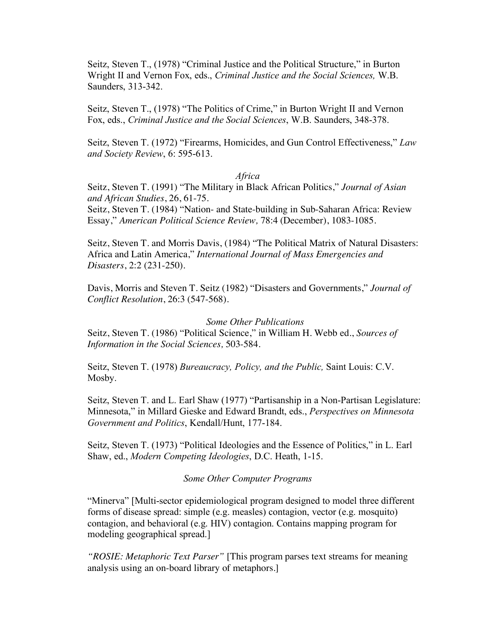Seitz, Steven T., (1978) "Criminal Justice and the Political Structure," in Burton Wright II and Vernon Fox, eds., *Criminal Justice and the Social Sciences,* W.B. Saunders, 313-342.

Seitz, Steven T., (1978) "The Politics of Crime," in Burton Wright II and Vernon Fox, eds., *Criminal Justice and the Social Sciences*, W.B. Saunders, 348-378.

Seitz, Steven T. (1972) "Firearms, Homicides, and Gun Control Effectiveness," *Law and Society Review*, 6: 595-613.

#### *Africa*

Seitz, Steven T. (1991) "The Military in Black African Politics," *Journal of Asian and African Studies*, 26, 61-75.

Seitz, Steven T. (1984) "Nation- and State-building in Sub-Saharan Africa: Review Essay," *American Political Science Review,* 78:4 (December), 1083-1085.

Seitz, Steven T. and Morris Davis, (1984) "The Political Matrix of Natural Disasters: Africa and Latin America," *International Journal of Mass Emergencies and Disasters*, 2:2 (231-250).

Davis, Morris and Steven T. Seitz (1982) "Disasters and Governments," *Journal of Conflict Resolution*, 26:3 (547-568).

*Some Other Publications* Seitz, Steven T. (1986) "Political Science," in William H. Webb ed., *Sources of Information in the Social Sciences,* 503-584.

Seitz, Steven T. (1978) *Bureaucracy, Policy, and the Public,* Saint Louis: C.V. Mosby.

Seitz, Steven T. and L. Earl Shaw (1977) "Partisanship in a Non-Partisan Legislature: Minnesota," in Millard Gieske and Edward Brandt, eds., *Perspectives on Minnesota Government and Politics*, Kendall/Hunt, 177-184.

Seitz, Steven T. (1973) "Political Ideologies and the Essence of Politics," in L. Earl Shaw, ed., *Modern Competing Ideologies*, D.C. Heath, 1-15.

*Some Other Computer Programs*

"Minerva" [Multi-sector epidemiological program designed to model three different forms of disease spread: simple (e.g. measles) contagion, vector (e.g. mosquito) contagion, and behavioral (e.g. HIV) contagion. Contains mapping program for modeling geographical spread.]

*"ROSIE: Metaphoric Text Parser"* [This program parses text streams for meaning analysis using an on-board library of metaphors.]